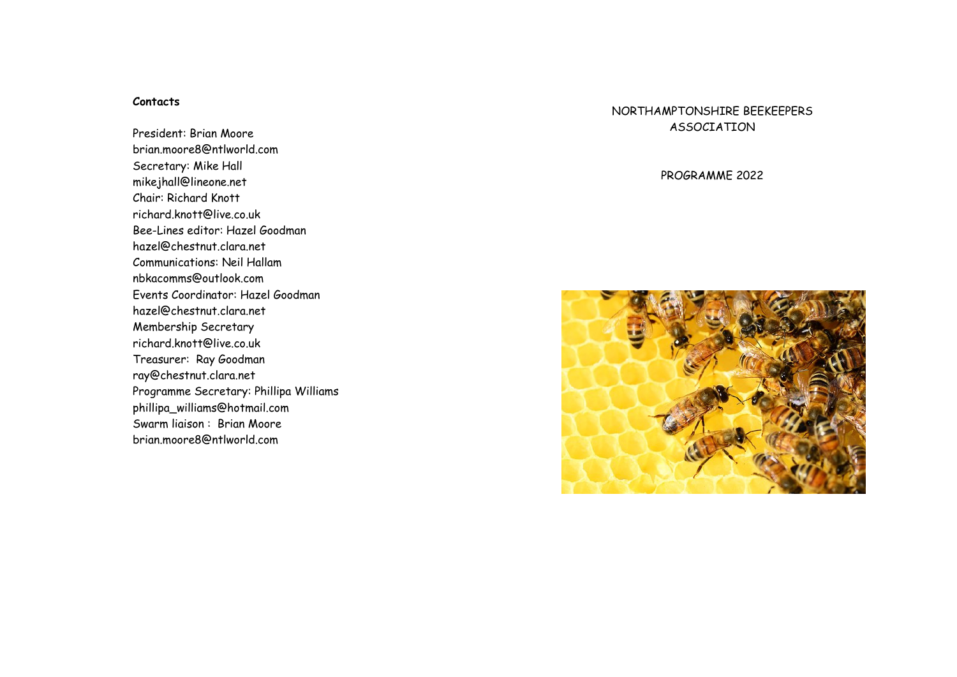## **Contacts**

President: Brian Moore brian.moore8@ntlworld.com Secretary: Mike Hall mikejhall@lineone.net Chair: Richard Knott richard.knott@live.co.uk Bee-Lines editor: Hazel Goodman hazel@chestnut.clara.net Communications: Neil Hallam nbkacomms@outlook.com Events Coordinator: Hazel Goodman hazel@chestnut.clara.net Membership Secretary richard.knott@live.co.uk Treasurer: Ray Goodman ray@chestnut.clara.net Programme Secretary: Phillipa Williams phillipa\_williams@hotmail.com Swarm liaison : Brian Moore brian.moore8@ntlworld.com

NORTHAMPTONSHIRE BEEKEEPERS ASSOCIATION

PROGRAMME 2022